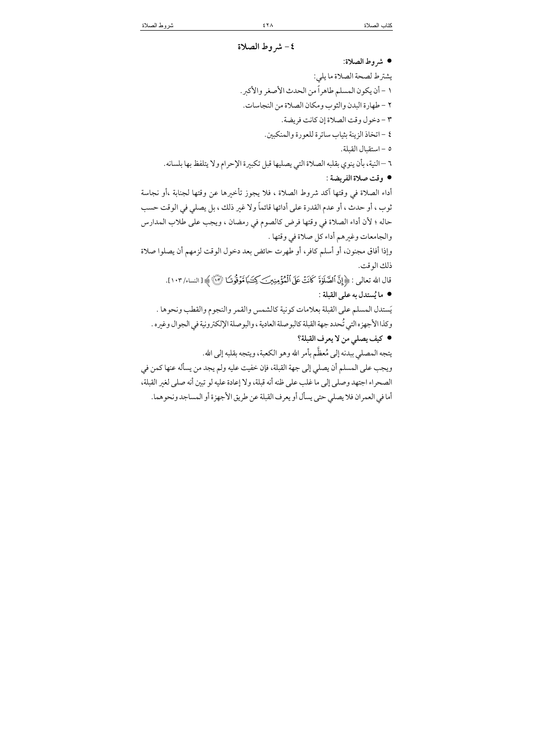| ٤- شروط الصلاة                                                                                                  |
|-----------------------------------------------------------------------------------------------------------------|
| • شروط الصلاة:                                                                                                  |
| يشترط لصحة الصلاة ما يلي:                                                                                       |
| ١ - أن يكون المسلم طاهراً من الحدث الأصغر والأكبر.                                                              |
| ٢ – طهارة البدن والثوب ومكان الصلاة من النجاسات.                                                                |
| ٣ - دخول وقت الصلاة إن كانت فريضة.                                                                              |
| ٤ – اتخاذ الزينة بثياب ساترة للعورة والمنكبين.                                                                  |
| ٥ - استقبال القبلة.                                                                                             |
| ٦ –النية، بأن ينوي بقلبه الصلاة التي يصليها قبل تكبيرة الإحرام ولا يتلفظ بها بلسانه.                            |
| ● وقت صلاة الفريضة :                                                                                            |
| أداء الصلاة في وقتها آكد شروط الصلاة ، فلا يجوز تأخيرها عن وقتها لجنابة ،أو نجاسة                               |
| ثوب ، أو حدث ، أو عدم القدرة على أدائها قائماً ولا غير ذلك ، بل يصلي في الوقت حسب                               |
| حاله ؛ لأن أداء الصلاة في وقتها فرض كالصوم في رمضان ، ويجب على طلاب المدارس                                     |
| والجامعات وغيرهم أداء كل صلاة في وقتها .                                                                        |
| وإذا أفاق مجنون، أو أسلم كافر، أو طهرت حائض بعد دخول الوقت لزمهم أن يصلوا صلاة                                  |
| ذلك الوقت.                                                                                                      |
| قال الله تعالى : ﴿ إِنَّ ٱلصَّلَوٰةَ كَانَتْ عَلَى ٱلْمُؤْمِنِينَ كِتَنَبَا مَّوْقُوتَ الَّهَ ﴾ [ النساء/ ١٠٣]. |
| ● ما يُستدل به على القبلة :                                                                                     |
| يَستدل المسلم على القبلة بعلامات كونية كالشمس والقمر والنجوم والقطب ونحوها .                                    |
| وكذا الأجهزه التي تُحدد جهة القبلة كالبوصلة العادية ، والبوصلة الإلكترونية في الجوال وغيره .                    |
| ● كيف يصلي من لا يعرف القبلة؟                                                                                   |
| يتجه المصلي ببدنه إلى مُعظّم بأمر الله وهو الكعبة، ويتجه بقلبه إلى الله.                                        |
| ويجب على المسلم أن يصلي إلى جهة القبلة، فإن خفيت عليه ولم يجد من يسأله عنها كمن في                              |
| الصحراء اجتهد وصلى إلى ما غلب على ظنه أنه قبلة، ولا إعادة عليه لو تبين أنه صلى لغير القبلة،                     |
| أما في العمران فلا يصلي حتى يسأل أو يعرف القبلة عن طريق الأجهزة أو المساجد ونحوهما.                             |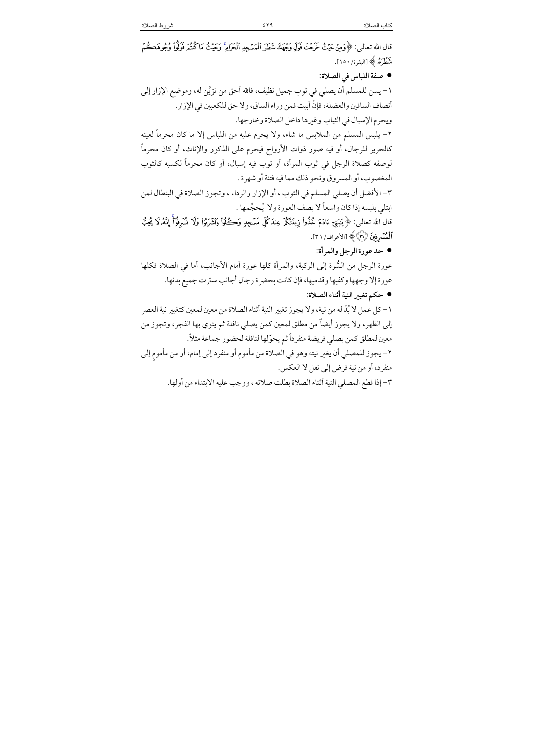قال الله تعالى: ﴿وَمِنْ حَيْثُ حَرَجْتَ فَوَلِّي وَجْهَكَ شَطَرَ ٱلْمَسْجِدِ ٱلْحَرَامِ ۚ وَحَيْثُ مَا كُنتُمْ فَولُواْ وُجُوهَكُمْ شَطَرَهُۥ ﴾ [البقرة/ ١٥٠]. ● صفة اللباس في الصلاة: ١ – يسن للمسلم أن يصلى في ثوب جميل نظيف، فالله أحق من تزيَّن له، وموضع الإزار إلى أنصاف الساقين والعضلة، فإنْ أبيت فمن وراء الساق، ولا حق للكعبين في الإزار. ويحرم الإسبال في الثياب وغيرها داخل الصلاة وخارجها. ٢- يلبس المسلم من الملابس ما شاء، ولا يحرم عليه من اللباس إلا ما كان محرماً لعينه كالحرير للرجال، أو فيه صور ذوات الأرواح فيحرم على الذكور والإناث، أو كان محرماً لوصفه كصلاة الرجل في ثوب المرأة، أو ثوب فيه إسبال، أو كان محرماً لكسبه كالثوب المغصوب، أو المسروق ونحو ذلك مما فيه فتنة أو شهرة . ٣- الأفضل أن يصلى المسلم في الثوب ، أو الإزار والرداء ، وتجوز الصلاة في البنطال لمن ابتلي بلبسه إذا كان واسعاً لا يصف العورة ولا يُحجِّمها . قال الله تعالى: ﴿ يَبَنِيٓ ءَادَمَ خُذُوا۟ زِينَتَكُمُ عِندَكُلِّ مَسۡجِلٍ وَكُفُوا۟ وَاشۡرَبُوا۟ وَلَا شَرۡوُآ إِنَّهُۥلَا يُحِبُّ أَلْمُسْرِفِينَ (٣) ﴾ [الأعراف/ ٣١]. • حد عورة الرجل والمرأة: عورة الرجل من السُّرة إلى الركبة، والمرأة كلها عورة أمام الأجانب، أما في الصلاة فكلها عورة إلا وجهها وكفيها وقدميها، فإن كانت بحضرة رجال أجانب سترت جميع بدنها. ● حكم تغيير النية أثناء الصلاة: ١ – كل عمل لا بُدِّ له من نية، ولا يجوز تغيير النية أثناء الصلاة من معين لمعين كتغيير نية العصر إلى الظهر، ولا يجوز أيضاً من مطلق لمعين كمن يصلي نافلة ثم ينوي بها الفجر، وتجوز من معين لمطلق كمن يصلى فريضة منفرداً ثم يحوّلها لنافلة لحضور جماعة مثلاً. ٢- يجوز للمصلى أن يغير نيته وهو في الصلاة من مأموم أو منفرد إلى إمام، أو من مأموم إلى منفرد، أو من نية فرض إلى نفل لا العكس. ٣- إذا قطع المصلى النية أثناء الصلاة بطلت صلاته ، ووجب عليه الابتداء من أولها.